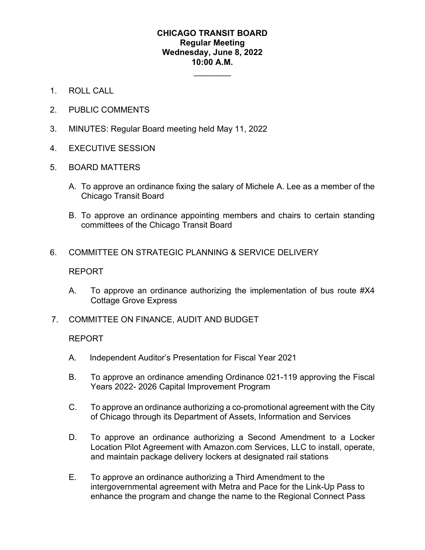## **CHICAGO TRANSIT BOARD Regular Meeting Wednesday, June 8, 2022 10:00 A.M.**

 $\overline{\phantom{a}}$ 

- 1. ROLL CALL
- 2. PUBLIC COMMENTS
- 3. MINUTES: Regular Board meeting held May 11, 2022
- 4. EXECUTIVE SESSION
- 5. BOARD MATTERS
	- A. To approve an ordinance fixing the salary of Michele A. Lee as a member of the Chicago Transit Board
	- B. To approve an ordinance appointing members and chairs to certain standing committees of the Chicago Transit Board
- 6. COMMITTEE ON STRATEGIC PLANNING & SERVICE DELIVERY

## REPORT

- A. To approve an ordinance authorizing the implementation of bus route #X4 Cottage Grove Express
- 7. COMMITTEE ON FINANCE, AUDIT AND BUDGET

## REPORT

- A. Independent Auditor's Presentation for Fiscal Year 2021
- B. To approve an ordinance amending Ordinance 021-119 approving the Fiscal Years 2022- 2026 Capital Improvement Program
- C. To approve an ordinance authorizing a co-promotional agreement with the City of Chicago through its Department of Assets, Information and Services
- D. To approve an ordinance authorizing a Second Amendment to a Locker Location Pilot Agreement with Amazon.com Services, LLC to install, operate, and maintain package delivery lockers at designated rail stations
- E. To approve an ordinance authorizing a Third Amendment to the intergovernmental agreement with Metra and Pace for the Link-Up Pass to enhance the program and change the name to the Regional Connect Pass